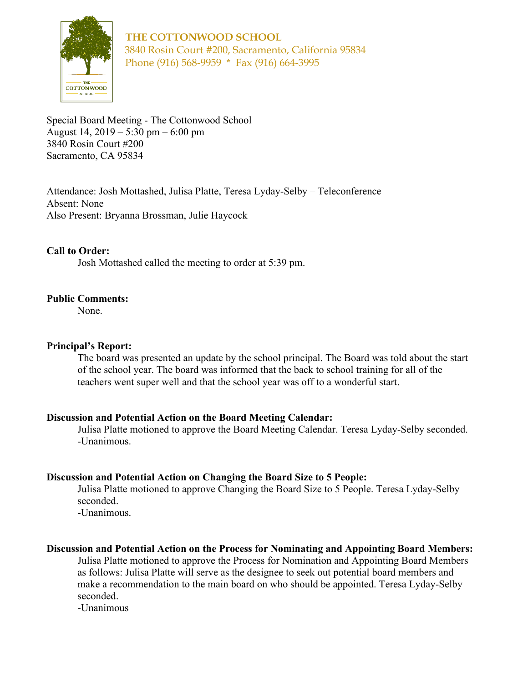

**THE COTTONWOOD SCHOOL** 3840 Rosin Court #200, Sacramento, California 95834 Phone (916) 568-9959 \* Fax (916) 664-3995

Special Board Meeting - The Cottonwood School August 14, 2019 – 5:30 pm – 6:00 pm 3840 Rosin Court #200 Sacramento, CA 95834

Attendance: Josh Mottashed, Julisa Platte, Teresa Lyday-Selby – Teleconference Absent: None Also Present: Bryanna Brossman, Julie Haycock

### **Call to Order:**

Josh Mottashed called the meeting to order at 5:39 pm.

### **Public Comments:**

None.

### **Principal's Report:**

The board was presented an update by the school principal. The Board was told about the start of the school year. The board was informed that the back to school training for all of the teachers went super well and that the school year was off to a wonderful start.

### **Discussion and Potential Action on the Board Meeting Calendar:**

Julisa Platte motioned to approve the Board Meeting Calendar. Teresa Lyday-Selby seconded. -Unanimous.

### **Discussion and Potential Action on Changing the Board Size to 5 People:**

Julisa Platte motioned to approve Changing the Board Size to 5 People. Teresa Lyday-Selby seconded.

-Unanimous.

#### **Discussion and Potential Action on the Process for Nominating and Appointing Board Members:**

Julisa Platte motioned to approve the Process for Nomination and Appointing Board Members as follows: Julisa Platte will serve as the designee to seek out potential board members and make a recommendation to the main board on who should be appointed. Teresa Lyday-Selby seconded.

-Unanimous